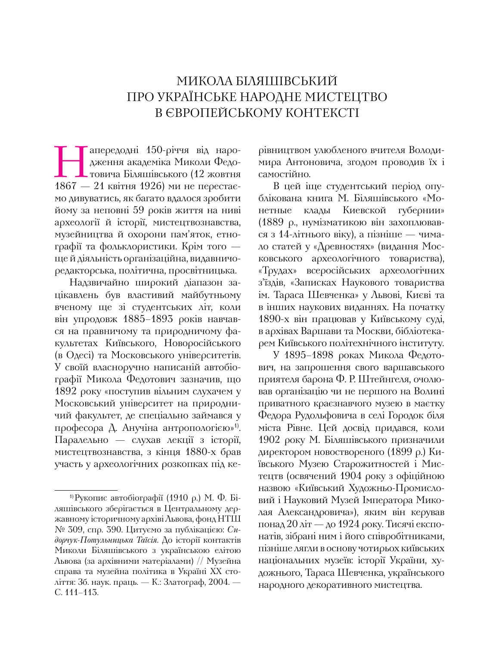## Микола Біляшівський про українське народне мистецтво в європейському контексті

Напередодні 150-річчя від наро-<br>Дження академіка Миколи Федо-<br>1867 — 21 квітня 1926) ми не перестаєдження академіка Миколи Федотовича Біляшівського (12 жовтня  $1867 - 21$  квітня 1926) ми не перестаємо дивуватись, як багато вдалося зробити йому за неповні 59 років життя на ниві археології й історії, мистецтвознавства, музейництва й охорони пам'яток, етнографії та фольклористики. Крім того ще й діяльність організаційна, видавничоредакторська, політична, просвітницька.

Надзвичайно широкий діапазон зацікавлень був властивий майбутньому вченому ще зі студентських літ, коли він упродовж 1885–1893 років навчався на правничому та природничому факультетах Київського, Новоросійського (в Одесі) та Московського університетів. У своїй власноручно написаній автобіографії Микола Федотович зазначив, що 1892 року «поступив вільним слухачем у Московський університет на природничий факультет, де спеціально займався у професора Д. Анучіна антропологією»1). Паралельно — слухав лекції з історії, мистецтвознавства, з кінця 1880-х брав участь у археологічних розкопках під керівництвом улюбленого вчителя Володимира Антоновича, згодом проводив їх і самостійно.

В цей іще студентський період опублікована книга М. Біляшівського «Монетные клады Киевской губернии» (1889 р., нумізматикою він захоплювався з 14-літнього віку), а пізніше — чимало статей у «Древностях» (видання Московського археологічного товариства), «Трудах» всеросійських археологічних з'їздів, «Записках Наукового товариства ім. Тараса Шевченка» у Львові, Києві та в інших наукових виданнях. На початку 1890-х він працював у Київському суді, в архівах Варшави та Москви, бібліотекарем Київського політехнічного інституту.

У 1895–1898 роках Микола Федотович, на запрошення свого варшавського приятеля барона Ф. Р. Штейнгеля, очолював організацію чи не першого на Волині приватного краєзнавчого музею в маєтку Федора Рудольфовича в селі Городок біля міста Рівне. Цей досвід придався, коли 1902 року М. Біляшівського призначили директором новоствореного (1899 р.) Київського Музею Старожитностей і Мистецтв (освячений 1904 року з офіційною назвою «Київський Художньо-Промисловий і Науковий Музей Імператора Миколая Александровича»), яким він керував понад 20 літ — до 1924 року. Тисячі експонатів, зібрані ним і його співробітниками, пізніше лягли в основу чотирьох київських національних музеїв: історії України, художнього, Тараса Шевченка, українського народного декоративного мистецтва.

<sup>1)</sup>Рукопис автобіографії (1910 р.) М. Ф. Біляшівського зберігається в Центральному державному історичному архіві Львова, фонд НТШ № 309, спр. 390. Цитуємо за публікацією: *Сидорчук-Потульницька Таїсія.* До історії контактів Миколи Біляшівського з українською елітою Львова (за архівними матеріалами) // Музейна справа та музейна політика в Україні ХХ століття: Зб. наук. праць. — К.: Златограф, 2004. — С. 111–113.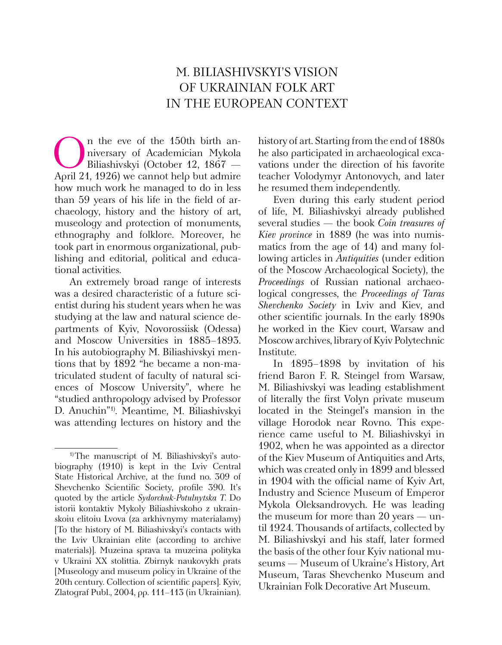## M. Biliashivskyi's vision of Ukrainian folk art in the European context

 $\bigcap_{\text{P}}$ n the eve of the 150th birth an-<br>
piversary of Academician Mykola<br>
Biliashivskyi (October 12, 1867 —<br>
Aoril 21, 1926) we cannot belo but admire niversary of Academician Mykola Biliashivskyi (October 12, 1867 — April 21, 1926) we cannot help but admire how much work he managed to do in less than 59 years of his life in the field of archaeology, history and the history of art, museology and protection of monuments, ethnography and folklore. Moreover, he took part in enormous organizational, publishing and editorial, political and educational activities.

An extremely broad range of interests was a desired characteristic of a future scientist during his student years when he was studying at the law and natural science departments of Kyiv, Novorossiisk (Odessa) and Moscow Universities in 1885–1893. In his autobiography M. Biliashivskyi mentions that by 1892 "he became a non-matriculated student of faculty of natural sciences of Moscow University", where he "studied anthropology advised by Professor D. Anuchin"1). Meantime, M. Biliashivskyi was attending lectures on history and the history of art. Starting from the end of 1880s he also participated in archaeological excavations under the direction of his favorite teacher Volodymyr Antonovych, and later he resumed them independently.

Even during this early student period of life, M. Biliashivskyi already published several studies — the book *Coin treasures of Kiev province* in 1889 (he was into numismatics from the age of 14) and many following articles in *Antiquities* (under edition of the Moscow Archaeological Society), the *Proceedings* of Russian national archaeological congresses, the *Proceedings of Taras Shevchenko Society* in Lviv and Kiev, and other scientific journals. In the early 1890s he worked in the Kiev court, Warsaw and Moscow archives, library of Kyiv Polytechnic Institute.

In 1895–1898 by invitation of his friend Baron F. R. Steingel from Warsaw, M. Biliashivskyi was leading establishment of literally the first Volyn private museum located in the Steingel's mansion in the village Horodok near Rovno. This experience came useful to M. Biliashivskyi in 1902, when he was appointed as a director of the Kiev Museum of Antiquities and Arts, which was created only in 1899 and blessed in 1904 with the official name of Kyiv Art, Industry and Science Museum of Emperor Mykola Oleksandrovych. He was leading the museum for more than 20 years — until 1924. Thousands of artifacts, collected by M. Biliashivskyi and his staff, later formed the basis of the other four Kyiv national museums — Museum of Ukraine's History, Art Museum, Taras Shevchenko Museum and Ukrainian Folk Decorative Art Museum.

<sup>&</sup>lt;sup>1)</sup>The manuscript of M. Biliashivskyi's autobiography (1910) is kept in the Lviv Central State Historical Archive, at the fund no. 309 of Shevchenko Scientific Society, profile 390. It's quoted by the article *Sydorchuk-Potulnytska T.* Do istorii kontaktiv Mykoly Biliashivskoho z ukrainskoiu elitoiu Lvova (za arkhivnymy materialamy) [To the history of M. Biliashivskyi's contacts with the Lviv Ukrainian elite (according to archive materials)]. Muzeina sprava ta muzeina polityka v Ukraini XX stolittia. Zbirnyk naukovykh prats [Museology and museum policy in Ukraine of the 20th century. Collection of scientific papers]. Kyiv, Zlatograf Publ., 2004, pp. 111–113 (in Ukrainian).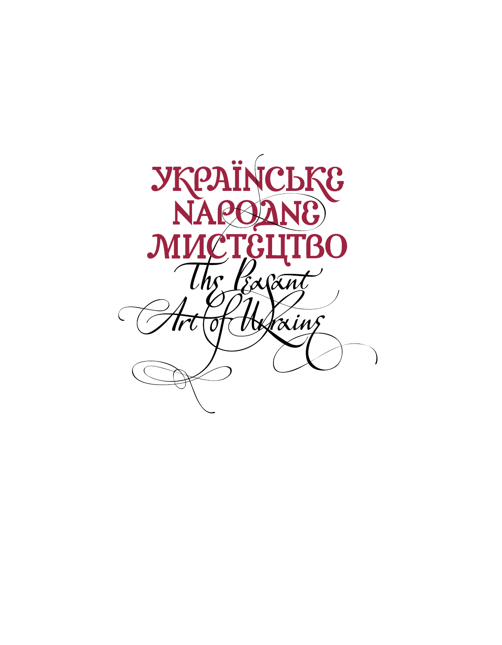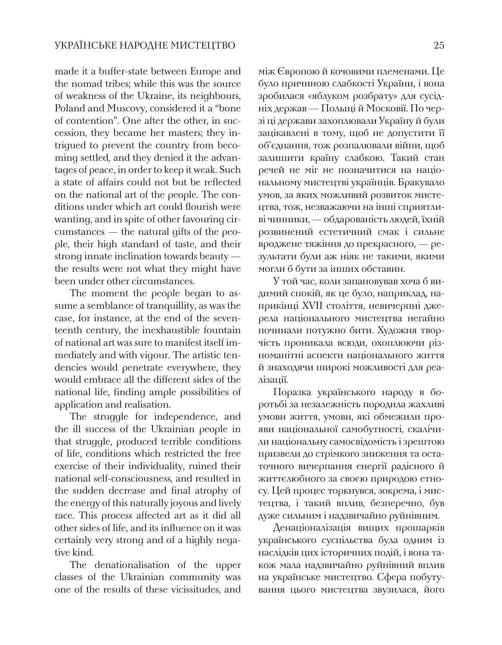made it a buffer-state between Europe and the nomad tribes; while this was the source of weakness of the Ukraine, its neighbours, Poland and Muscovy, considered it a "bone of contention". One after the other, in succession, they became her masters; they intrigued to prevent the country from becoming settled, and they denied it the advantages of peace, in order to keep it weak. Such a state of affairs could not but be reflected on the national art of the people. The conditions under which art could flourish were wanting, and in spite of other favouring circumstances — the natural gifts of the people, their high standard of taste, and their strong innate inclination towards beauty the results were not what they might have been under other circumstances.

The moment the people began to assume a semblance of tranquillity, as was the case, for instance, at the end of the seventeenth century, the inexhaustible fountain of national art was sure to manifest itself immediately and with vigour. The artistic tendencies would penetrate everywhere, they would embrace all the different sides of the national life, finding ample possibilities of application and realisation.

The struggle for independence, and the ill success of the Ukrainian people in that struggle, produced terrible conditions of life, conditions which restricted the free exercise of their individuality, ruined their national self-consciousness, and resulted in the sudden decrease and final atrophy of the energy of this naturally joyous and lively race. This process affected art as it did all other sides of life, and its influence on it was certainly very strong and of a highly negative kind.

The denationalisation of the upper classes of the Ukrainian community was one of the results of these vicissitudes, and

між Європою й кочовими племенами. Це було причиною слабкості України, і вона зробилася «яблуком розбрату» для сусідніх держав — Польщі й Московії. По черзі ці держави захоплювали Україну й були зацікавлені в тому, щоб не допустити її об'єднання, тож розпалювали війни, щоб залишити країну слабкою. Такий стан речей не міг не позначитися на національному мистецтві українців. Бракувало умов, за яких можливий розвиток мистецтва, тож, незважаючи на інші сприятливі чинники, — обдарованість людей, їхній розвинений естетичний смак і сильне вроджене тяжіння до прекрасного, — результати були аж ніяк не такими, якими могли б бути за інших обставин.

У той час, коли запановував хоча б видимий спокій, як це було, наприклад, наприкінці XVII століття, невичерпні джерела національного мистецтва негайно починали потужно бити. Художня творчість проникала всюди, охоплюючи різноманітні аспекти національного життя й знаходячи широкі можливості для реалізації.

Поразка українського народу в боротьбі за незалежність породила жахливі умови життя, умови, які обмежили прояви національної самобутності, скалічили національну самосвідомість і зрештою призвели до стрімкого зниження та остаточного вичерпання енергії радісного й життєлюбного за своєю природою етносу. Цей процес торкнувся, зокрема, і мистецтва, і такий вплив, безперечно, був дуже сильним і надзвичайно руйнівним.

Денаціоналізація вищих прошарків українського суспільства була одним із наслідків цих історичних подій, і вона також мала надзвичайно руйнівний вплив на українське мистецтво. Сфера побутування цього мистецтва звузилася, його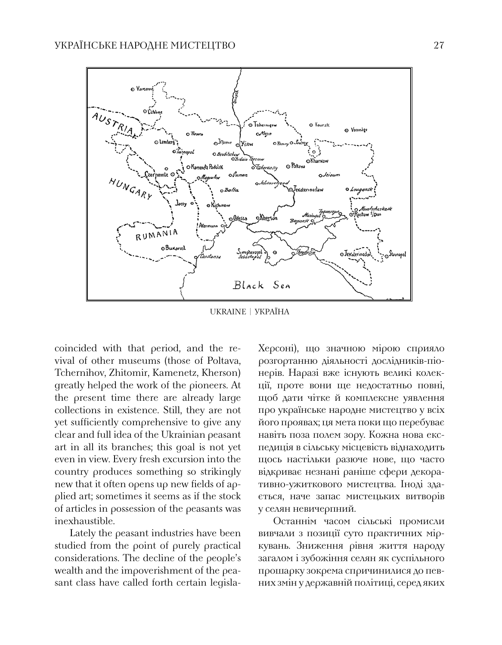

UKRAINE | Україна

coincided with that period, and the revival of other museums (those of Poltava, Tchernihov, Zhitomir, Kamenetz, Kherson) greatly helped the work of the pioneers. At the present time there are already large collections in existence. Still, they are not yet sufficiently comprehensive to give any clear and full idea of the Ukrainian peasant art in all its branches; this goal is not yet even in view. Every fresh excursion into the country produces something so strikingly new that it often opens up new fields of applied art; sometimes it seems as if the stock of articles in possession of the peasants was inexhaustible.

Lately the peasant industries have been studied from the point of purely practical considerations. The decline of the people's wealth and the impoverishment of the peasant class have called forth certain legislaХерсоні), що значною мірою сприяло розгортанню діяльності дослідників-піонерів. Наразі вже існують великі колекції, проте вони ще недостатньо повні, щоб дати чітке й комплексне уявлення про українське народне мистецтво у всіх його проявах; ця мета поки що перебуває навіть поза полем зору. Кожна нова експедиція в сільську місцевість віднаходить щось настільки разюче нове, що часто відкриває незнані раніше сфери декоративно-ужиткового мистецтва. Іноді здається, наче запас мистецьких витворів у селян невичерпний.

Останнім часом сільські промисли вивчали з позиції суто практичних міркувань. Зниження рівня життя народу загалом і зубожіння селян як суспільного прошарку зокрема спричинилися до певних змін у державній політиці, серед яких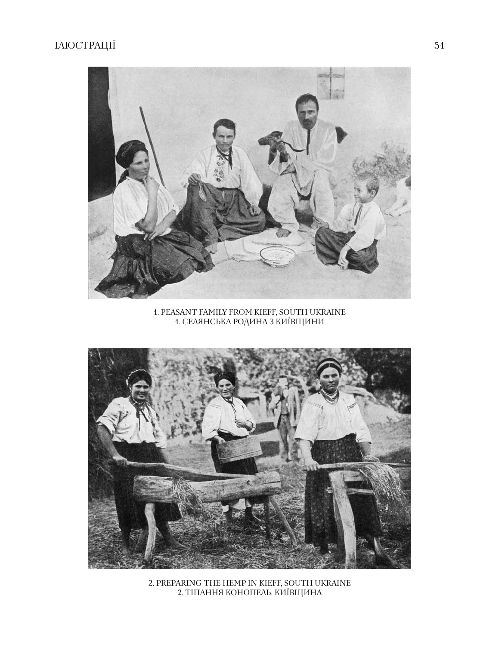

1. peasant family from kieff, south Ukraine 1. селянська родина з київщини



2. PREPARING THE HEMP IN KIEFF, SOUTH U 2. тіпання конопель. київщина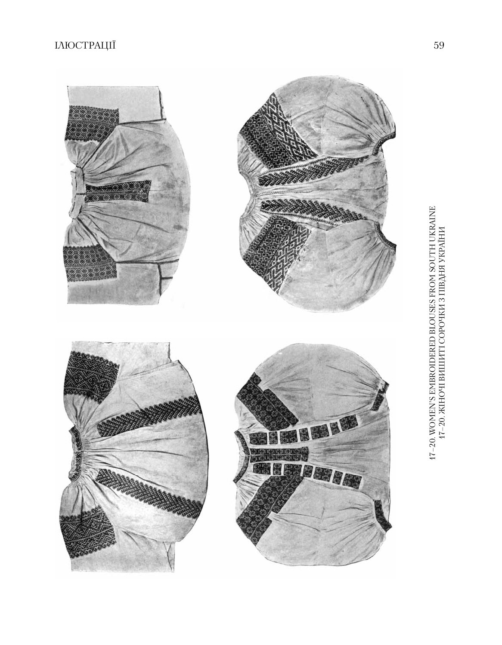# ілюстрації 59

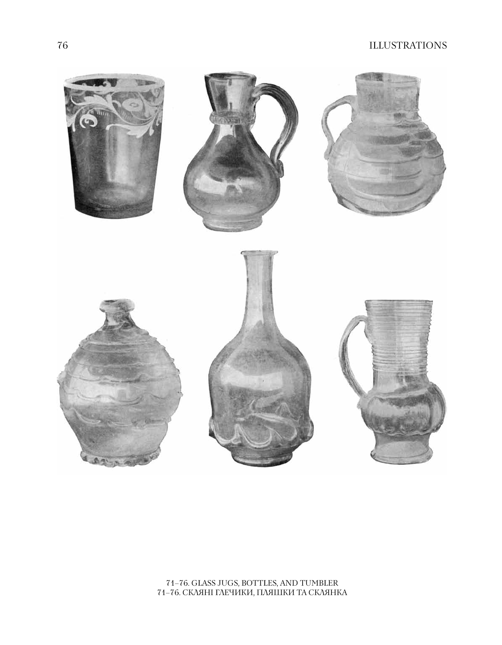### 76 illustrations



#### 71–76. glass jugs, bottles, and tumbler 71–76. скляні глечики, пляшки та склянка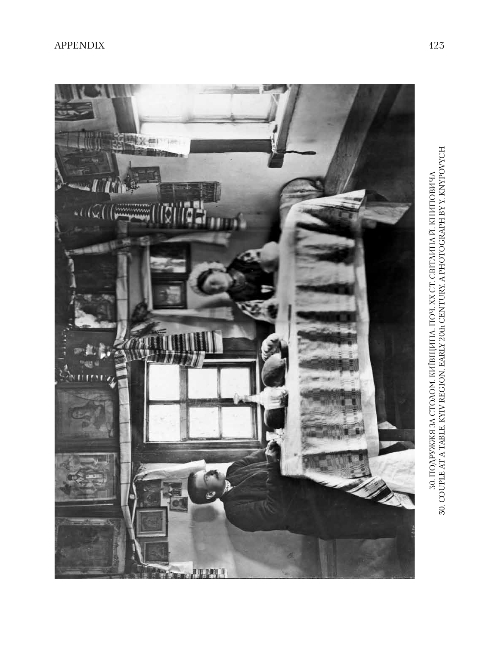

30. ПОДРУЖЖЯ ЗА СТОЛОМ. КИЇВЩИНА. ПОЧ. ХХ СТ. СВІТЛИНА Й. КНИПОВИЧА ЗО. СОUPLE AT A TABLE. KYIV REGION. EARLY 20th CENTURY. A PHOTOGRAPH BY Y. KNYPOVYCH 30. ПОДРУЖЖЯ ЗА СТОЛОМ. КИЇВЩИНА. ПОЧ. ХХ СТ. СВІТЛИНА Й. КНИПОВИЧА<br>30. COUPLE AT A TABLE. KYIV REGION. EARLY 20th CENTURY. A PHOTOGRAPH BY Y. KNYPOVYCH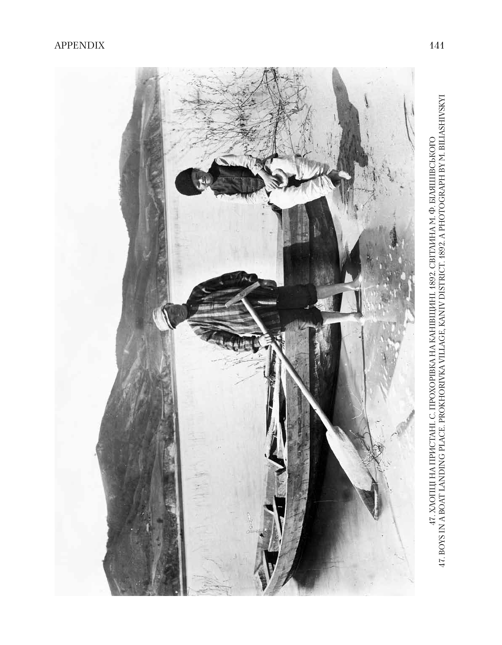

47. XOOILII HA IIPICTAHI. C. IIPOXOPIBKA HA KAHIBILIVIHI. 1892. CBITNIHA M. Ф. БІЛЯШІВСЬКОГО 47. BOYS IN A BOAT LANDING PLACE. PROKHORIVKA VILLAGE, KANIV DISTRICT. 1892. A PHOTOGRAPH BY M. BILIASHIVSKYI 47. Хлопці на пристані. с. Прохорівка на канівщині. 1892. світлина м. ф. біляшівського 47. Boys in a boat landing place. Prokhorivka village, Kaniv district. 1892. A photograph by M. Biliashivskyi